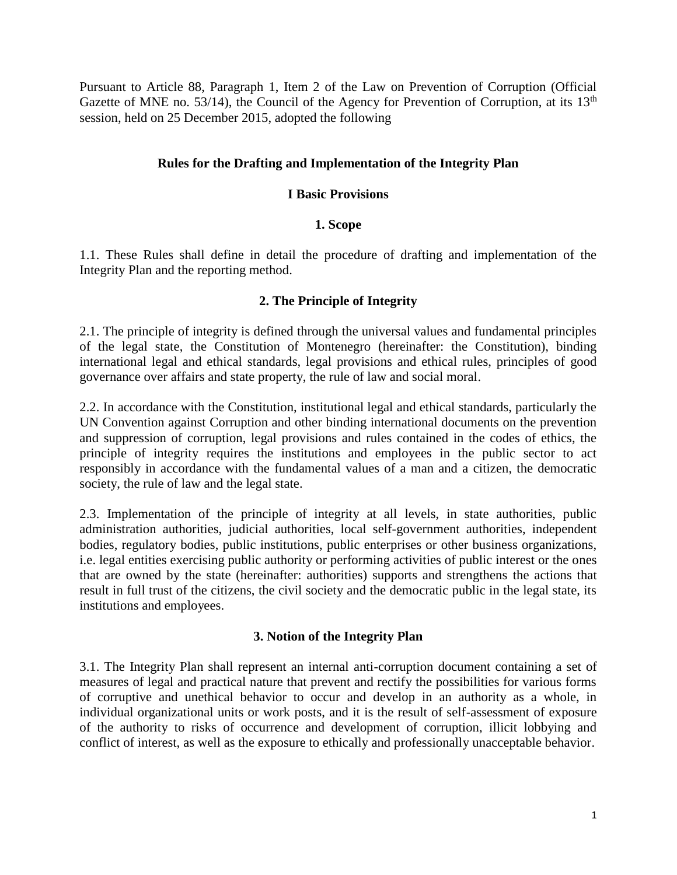Pursuant to Article 88, Paragraph 1, Item 2 of the Law on Prevention of Corruption (Official Gazette of MNE no. 53/14), the Council of the Agency for Prevention of Corruption, at its  $13<sup>th</sup>$ session, held on 25 December 2015, adopted the following

#### **Rules for the Drafting and Implementation of the Integrity Plan**

#### **I Basic Provisions**

#### **1. Scope**

1.1. These Rules shall define in detail the procedure of drafting and implementation of the Integrity Plan and the reporting method.

#### **2. The Principle of Integrity**

2.1. The principle of integrity is defined through the universal values and fundamental principles of the legal state, the Constitution of Montenegro (hereinafter: the Constitution), binding international legal and ethical standards, legal provisions and ethical rules, principles of good governance over affairs and state property, the rule of law and social moral.

2.2. In accordance with the Constitution, institutional legal and ethical standards, particularly the UN Convention against Corruption and other binding international documents on the prevention and suppression of corruption, legal provisions and rules contained in the codes of ethics, the principle of integrity requires the institutions and employees in the public sector to act responsibly in accordance with the fundamental values of a man and a citizen, the democratic society, the rule of law and the legal state.

2.3. Implementation of the principle of integrity at all levels, in state authorities, public administration authorities, judicial authorities, local self-government authorities, independent bodies, regulatory bodies, public institutions, public enterprises or other business organizations, i.e. legal entities exercising public authority or performing activities of public interest or the ones that are owned by the state (hereinafter: authorities) supports and strengthens the actions that result in full trust of the citizens, the civil society and the democratic public in the legal state, its institutions and employees.

#### **3. Notion of the Integrity Plan**

3.1. The Integrity Plan shall represent an internal anti-corruption document containing a set of measures of legal and practical nature that prevent and rectify the possibilities for various forms of corruptive and unethical behavior to occur and develop in an authority as a whole, in individual organizational units or work posts, and it is the result of self-assessment of exposure of the authority to risks of occurrence and development of corruption, illicit lobbying and conflict of interest, as well as the exposure to ethically and professionally unacceptable behavior.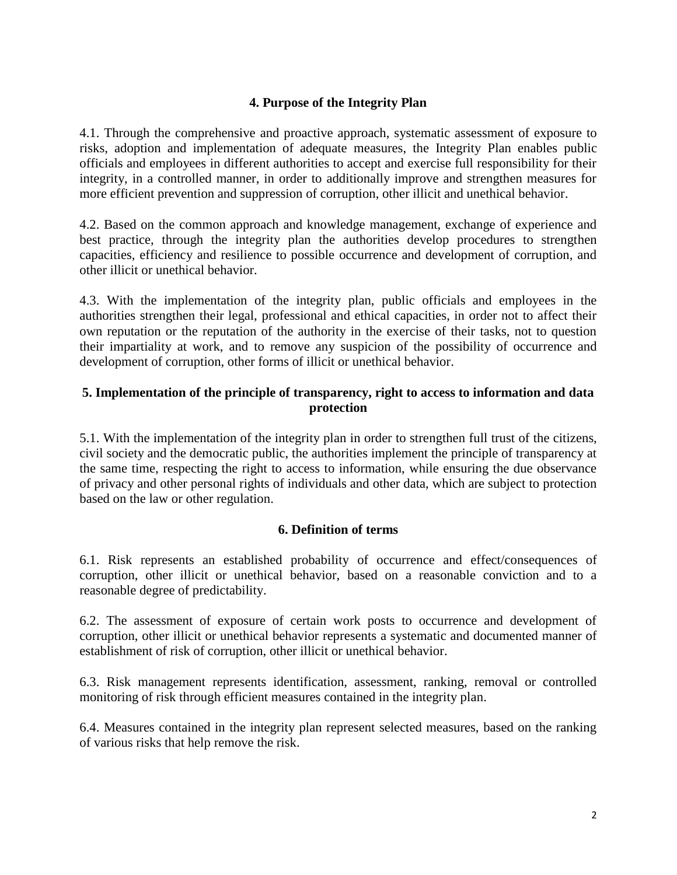#### **4. Purpose of the Integrity Plan**

4.1. Through the comprehensive and proactive approach, systematic assessment of exposure to risks, adoption and implementation of adequate measures, the Integrity Plan enables public officials and employees in different authorities to accept and exercise full responsibility for their integrity, in a controlled manner, in order to additionally improve and strengthen measures for more efficient prevention and suppression of corruption, other illicit and unethical behavior.

4.2. Based on the common approach and knowledge management, exchange of experience and best practice, through the integrity plan the authorities develop procedures to strengthen capacities, efficiency and resilience to possible occurrence and development of corruption, and other illicit or unethical behavior.

4.3. With the implementation of the integrity plan, public officials and employees in the authorities strengthen their legal, professional and ethical capacities, in order not to affect their own reputation or the reputation of the authority in the exercise of their tasks, not to question their impartiality at work, and to remove any suspicion of the possibility of occurrence and development of corruption, other forms of illicit or unethical behavior.

#### **5. Implementation of the principle of transparency, right to access to information and data protection**

5.1. With the implementation of the integrity plan in order to strengthen full trust of the citizens, civil society and the democratic public, the authorities implement the principle of transparency at the same time, respecting the right to access to information, while ensuring the due observance of privacy and other personal rights of individuals and other data, which are subject to protection based on the law or other regulation.

#### **6. Definition of terms**

6.1. Risk represents an established probability of occurrence and effect/consequences of corruption, other illicit or unethical behavior, based on a reasonable conviction and to a reasonable degree of predictability.

6.2. The assessment of exposure of certain work posts to occurrence and development of corruption, other illicit or unethical behavior represents a systematic and documented manner of establishment of risk of corruption, other illicit or unethical behavior.

6.3. Risk management represents identification, assessment, ranking, removal or controlled monitoring of risk through efficient measures contained in the integrity plan.

6.4. Measures contained in the integrity plan represent selected measures, based on the ranking of various risks that help remove the risk.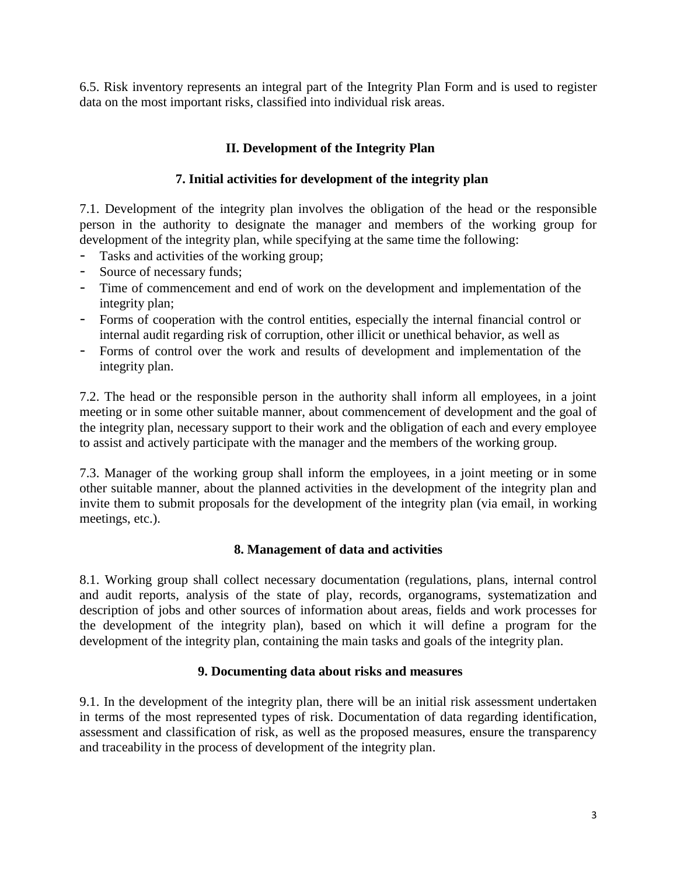6.5. Risk inventory represents an integral part of the Integrity Plan Form and is used to register data on the most important risks, classified into individual risk areas.

## **II. Development of the Integrity Plan**

#### **7. Initial activities for development of the integrity plan**

7.1. Development of the integrity plan involves the obligation of the head or the responsible person in the authority to designate the manager and members of the working group for development of the integrity plan, while specifying at the same time the following:

- Tasks and activities of the working group;
- Source of necessary funds;
- Time of commencement and end of work on the development and implementation of the integrity plan;
- Forms of cooperation with the control entities, especially the internal financial control or internal audit regarding risk of corruption, other illicit or unethical behavior, as well as
- Forms of control over the work and results of development and implementation of the integrity plan.

7.2. The head or the responsible person in the authority shall inform all employees, in a joint meeting or in some other suitable manner, about commencement of development and the goal of the integrity plan, necessary support to their work and the obligation of each and every employee to assist and actively participate with the manager and the members of the working group.

7.3. Manager of the working group shall inform the employees, in a joint meeting or in some other suitable manner, about the planned activities in the development of the integrity plan and invite them to submit proposals for the development of the integrity plan (via email, in working meetings, etc.).

#### **8. Management of data and activities**

8.1. Working group shall collect necessary documentation (regulations, plans, internal control and audit reports, analysis of the state of play, records, organograms, systematization and description of jobs and other sources of information about areas, fields and work processes for the development of the integrity plan), based on which it will define a program for the development of the integrity plan, containing the main tasks and goals of the integrity plan.

#### **9. Documenting data about risks and measures**

9.1. In the development of the integrity plan, there will be an initial risk assessment undertaken in terms of the most represented types of risk. Documentation of data regarding identification, assessment and classification of risk, as well as the proposed measures, ensure the transparency and traceability in the process of development of the integrity plan.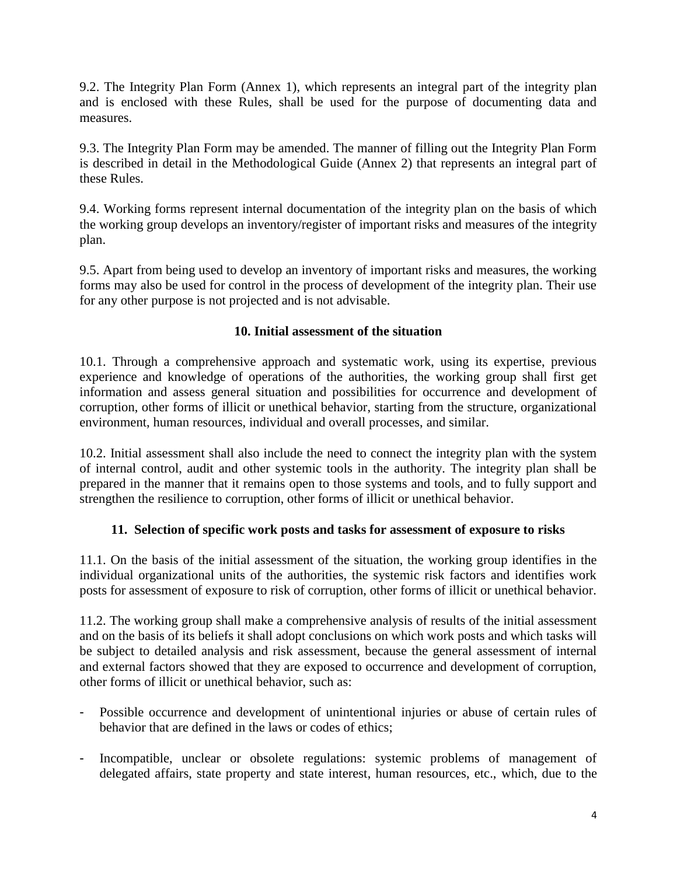9.2. The Integrity Plan Form (Annex 1), which represents an integral part of the integrity plan and is enclosed with these Rules, shall be used for the purpose of documenting data and measures.

9.3. The Integrity Plan Form may be amended. The manner of filling out the Integrity Plan Form is described in detail in the Methodological Guide (Annex 2) that represents an integral part of these Rules.

9.4. Working forms represent internal documentation of the integrity plan on the basis of which the working group develops an inventory/register of important risks and measures of the integrity plan.

9.5. Apart from being used to develop an inventory of important risks and measures, the working forms may also be used for control in the process of development of the integrity plan. Their use for any other purpose is not projected and is not advisable.

#### **10. Initial assessment of the situation**

10.1. Through a comprehensive approach and systematic work, using its expertise, previous experience and knowledge of operations of the authorities, the working group shall first get information and assess general situation and possibilities for occurrence and development of corruption, other forms of illicit or unethical behavior, starting from the structure, organizational environment, human resources, individual and overall processes, and similar.

10.2. Initial assessment shall also include the need to connect the integrity plan with the system of internal control, audit and other systemic tools in the authority. The integrity plan shall be prepared in the manner that it remains open to those systems and tools, and to fully support and strengthen the resilience to corruption, other forms of illicit or unethical behavior.

#### **11. Selection of specific work posts and tasks for assessment of exposure to risks**

11.1. On the basis of the initial assessment of the situation, the working group identifies in the individual organizational units of the authorities, the systemic risk factors and identifies work posts for assessment of exposure to risk of corruption, other forms of illicit or unethical behavior.

11.2. The working group shall make a comprehensive analysis of results of the initial assessment and on the basis of its beliefs it shall adopt conclusions on which work posts and which tasks will be subject to detailed analysis and risk assessment, because the general assessment of internal and external factors showed that they are exposed to occurrence and development of corruption, other forms of illicit or unethical behavior, such as:

- Possible occurrence and development of unintentional injuries or abuse of certain rules of behavior that are defined in the laws or codes of ethics;
- Incompatible, unclear or obsolete regulations: systemic problems of management of delegated affairs, state property and state interest, human resources, etc., which, due to the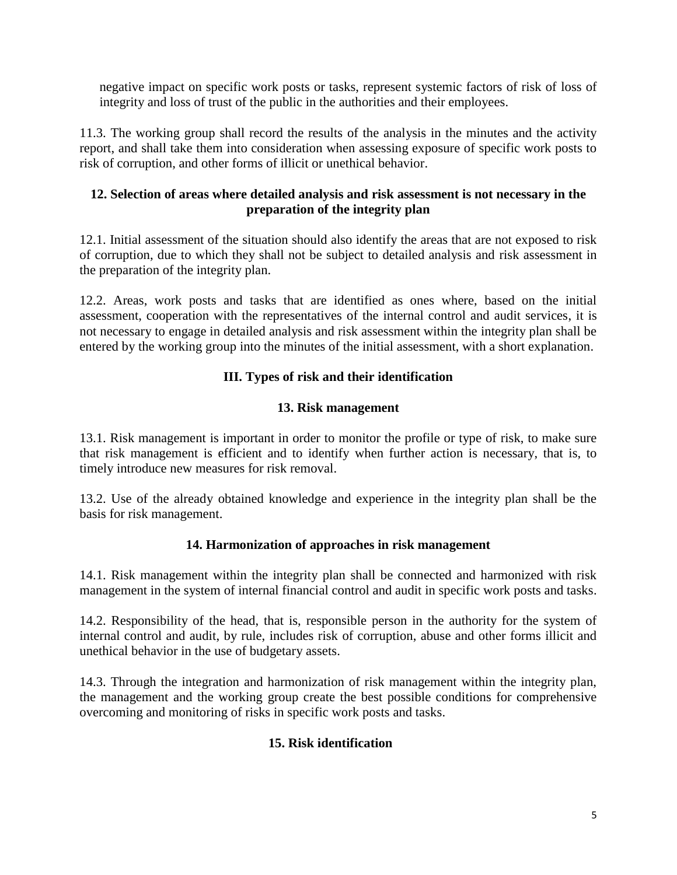negative impact on specific work posts or tasks, represent systemic factors of risk of loss of integrity and loss of trust of the public in the authorities and their employees.

11.3. The working group shall record the results of the analysis in the minutes and the activity report, and shall take them into consideration when assessing exposure of specific work posts to risk of corruption, and other forms of illicit or unethical behavior.

#### **12. Selection of areas where detailed analysis and risk assessment is not necessary in the preparation of the integrity plan**

12.1. Initial assessment of the situation should also identify the areas that are not exposed to risk of corruption, due to which they shall not be subject to detailed analysis and risk assessment in the preparation of the integrity plan.

12.2. Areas, work posts and tasks that are identified as ones where, based on the initial assessment, cooperation with the representatives of the internal control and audit services, it is not necessary to engage in detailed analysis and risk assessment within the integrity plan shall be entered by the working group into the minutes of the initial assessment, with a short explanation.

## **III. Types of risk and their identification**

#### **13. Risk management**

13.1. Risk management is important in order to monitor the profile or type of risk, to make sure that risk management is efficient and to identify when further action is necessary, that is, to timely introduce new measures for risk removal.

13.2. Use of the already obtained knowledge and experience in the integrity plan shall be the basis for risk management.

#### **14. Harmonization of approaches in risk management**

14.1. Risk management within the integrity plan shall be connected and harmonized with risk management in the system of internal financial control and audit in specific work posts and tasks.

14.2. Responsibility of the head, that is, responsible person in the authority for the system of internal control and audit, by rule, includes risk of corruption, abuse and other forms illicit and unethical behavior in the use of budgetary assets.

14.3. Through the integration and harmonization of risk management within the integrity plan, the management and the working group create the best possible conditions for comprehensive overcoming and monitoring of risks in specific work posts and tasks.

#### **15. Risk identification**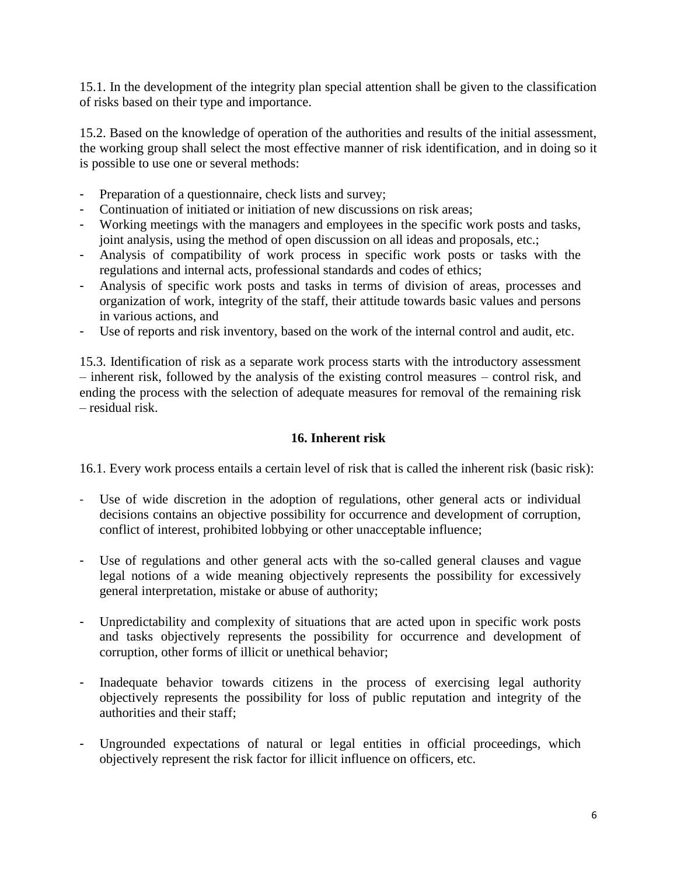15.1. In the development of the integrity plan special attention shall be given to the classification of risks based on their type and importance.

15.2. Based on the knowledge of operation of the authorities and results of the initial assessment, the working group shall select the most effective manner of risk identification, and in doing so it is possible to use one or several methods:

- Preparation of a questionnaire, check lists and survey;
- Continuation of initiated or initiation of new discussions on risk areas;
- Working meetings with the managers and employees in the specific work posts and tasks, joint analysis, using the method of open discussion on all ideas and proposals, etc.;
- Analysis of compatibility of work process in specific work posts or tasks with the regulations and internal acts, professional standards and codes of ethics;
- Analysis of specific work posts and tasks in terms of division of areas, processes and organization of work, integrity of the staff, their attitude towards basic values and persons in various actions, and
- Use of reports and risk inventory, based on the work of the internal control and audit, etc.

15.3. Identification of risk as a separate work process starts with the introductory assessment – inherent risk, followed by the analysis of the existing control measures – control risk, and ending the process with the selection of adequate measures for removal of the remaining risk – residual risk.

#### **16. Inherent risk**

16.1. Every work process entails a certain level of risk that is called the inherent risk (basic risk):

- Use of wide discretion in the adoption of regulations, other general acts or individual decisions contains an objective possibility for occurrence and development of corruption, conflict of interest, prohibited lobbying or other unacceptable influence;
- Use of regulations and other general acts with the so-called general clauses and vague legal notions of a wide meaning objectively represents the possibility for excessively general interpretation, mistake or abuse of authority;
- Unpredictability and complexity of situations that are acted upon in specific work posts and tasks objectively represents the possibility for occurrence and development of corruption, other forms of illicit or unethical behavior;
- Inadequate behavior towards citizens in the process of exercising legal authority objectively represents the possibility for loss of public reputation and integrity of the authorities and their staff;
- Ungrounded expectations of natural or legal entities in official proceedings, which objectively represent the risk factor for illicit influence on officers, etc.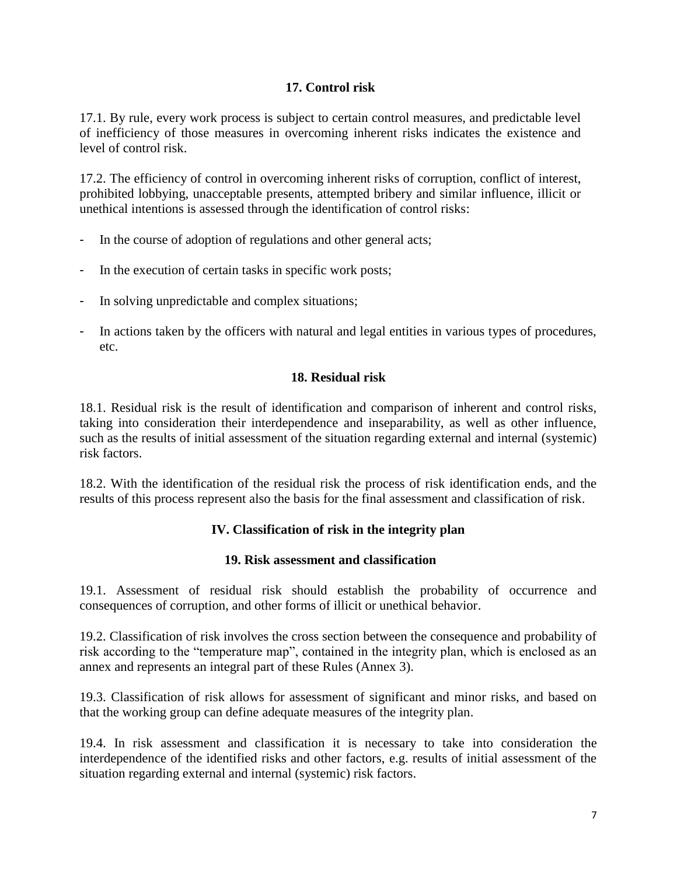## **17. Control risk**

17.1. By rule, every work process is subject to certain control measures, and predictable level of inefficiency of those measures in overcoming inherent risks indicates the existence and level of control risk.

17.2. The efficiency of control in overcoming inherent risks of corruption, conflict of interest, prohibited lobbying, unacceptable presents, attempted bribery and similar influence, illicit or unethical intentions is assessed through the identification of control risks:

- In the course of adoption of regulations and other general acts;
- In the execution of certain tasks in specific work posts;
- In solving unpredictable and complex situations;
- In actions taken by the officers with natural and legal entities in various types of procedures, etc.

#### **18. Residual risk**

18.1. Residual risk is the result of identification and comparison of inherent and control risks, taking into consideration their interdependence and inseparability, as well as other influence, such as the results of initial assessment of the situation regarding external and internal (systemic) risk factors.

18.2. With the identification of the residual risk the process of risk identification ends, and the results of this process represent also the basis for the final assessment and classification of risk.

#### **IV. Classification of risk in the integrity plan**

#### **19. Risk assessment and classification**

19.1. Assessment of residual risk should establish the probability of occurrence and consequences of corruption, and other forms of illicit or unethical behavior.

19.2. Classification of risk involves the cross section between the consequence and probability of risk according to the "temperature map", contained in the integrity plan, which is enclosed as an annex and represents an integral part of these Rules (Annex 3).

19.3. Classification of risk allows for assessment of significant and minor risks, and based on that the working group can define adequate measures of the integrity plan.

19.4. In risk assessment and classification it is necessary to take into consideration the interdependence of the identified risks and other factors, e.g. results of initial assessment of the situation regarding external and internal (systemic) risk factors.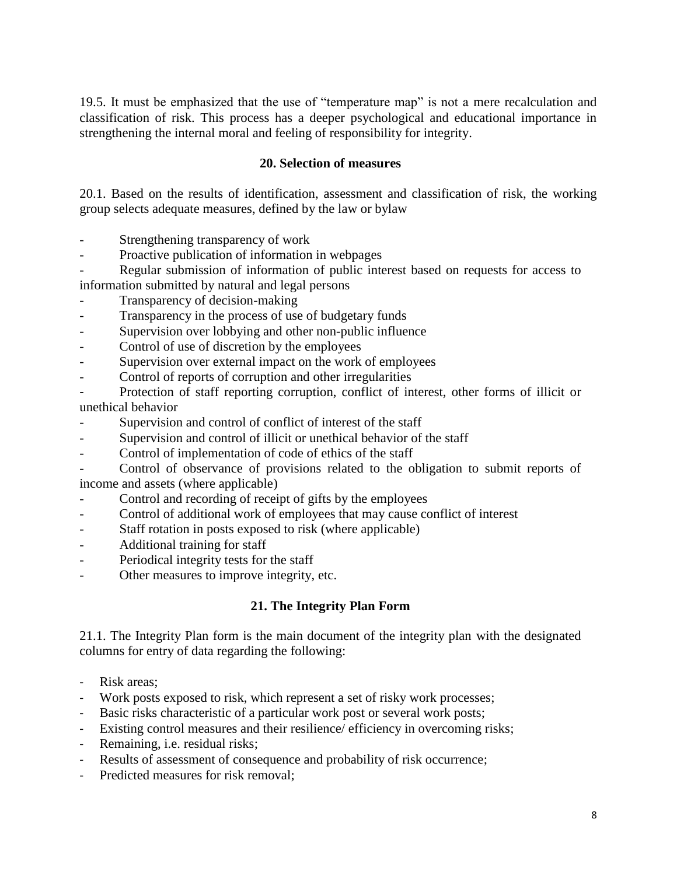19.5. It must be emphasized that the use of "temperature map" is not a mere recalculation and classification of risk. This process has a deeper psychological and educational importance in strengthening the internal moral and feeling of responsibility for integrity.

#### **20. Selection of measures**

20.1. Based on the results of identification, assessment and classification of risk, the working group selects adequate measures, defined by the law or bylaw

- Strengthening transparency of work
- Proactive publication of information in webpages
- Regular submission of information of public interest based on requests for access to information submitted by natural and legal persons
- Transparency of decision-making
- Transparency in the process of use of budgetary funds
- Supervision over lobbying and other non-public influence
- Control of use of discretion by the employees
- Supervision over external impact on the work of employees
- Control of reports of corruption and other irregularities
- Protection of staff reporting corruption, conflict of interest, other forms of illicit or unethical behavior
- Supervision and control of conflict of interest of the staff
- Supervision and control of illicit or unethical behavior of the staff
- Control of implementation of code of ethics of the staff

- Control of observance of provisions related to the obligation to submit reports of income and assets (where applicable)

- Control and recording of receipt of gifts by the employees
- Control of additional work of employees that may cause conflict of interest
- Staff rotation in posts exposed to risk (where applicable)
- Additional training for staff
- Periodical integrity tests for the staff
- Other measures to improve integrity, etc.

#### **21. The Integrity Plan Form**

21.1. The Integrity Plan form is the main document of the integrity plan with the designated columns for entry of data regarding the following:

- Risk areas:
- Work posts exposed to risk, which represent a set of risky work processes;
- Basic risks characteristic of a particular work post or several work posts;
- Existing control measures and their resilience/ efficiency in overcoming risks;
- Remaining, i.e. residual risks;
- Results of assessment of consequence and probability of risk occurrence;
- Predicted measures for risk removal;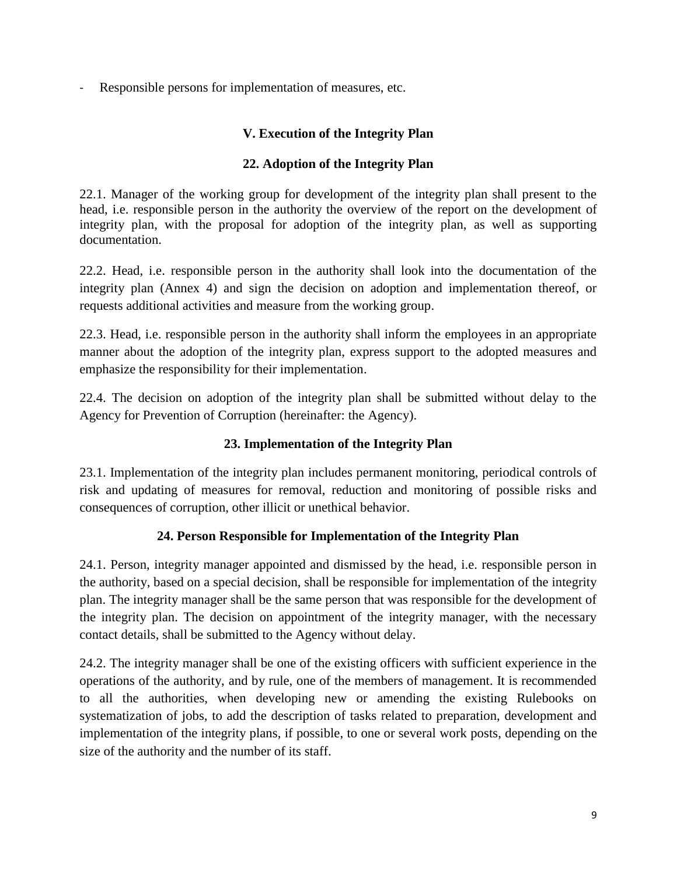Responsible persons for implementation of measures, etc.

### **V. Execution of the Integrity Plan**

### **22. Adoption of the Integrity Plan**

22.1. Manager of the working group for development of the integrity plan shall present to the head, i.e. responsible person in the authority the overview of the report on the development of integrity plan, with the proposal for adoption of the integrity plan, as well as supporting documentation.

22.2. Head, i.e. responsible person in the authority shall look into the documentation of the integrity plan (Annex 4) and sign the decision on adoption and implementation thereof, or requests additional activities and measure from the working group.

22.3. Head, i.e. responsible person in the authority shall inform the employees in an appropriate manner about the adoption of the integrity plan, express support to the adopted measures and emphasize the responsibility for their implementation.

22.4. The decision on adoption of the integrity plan shall be submitted without delay to the Agency for Prevention of Corruption (hereinafter: the Agency).

## **23. Implementation of the Integrity Plan**

23.1. Implementation of the integrity plan includes permanent monitoring, periodical controls of risk and updating of measures for removal, reduction and monitoring of possible risks and consequences of corruption, other illicit or unethical behavior.

#### **24. Person Responsible for Implementation of the Integrity Plan**

24.1. Person, integrity manager appointed and dismissed by the head, i.e. responsible person in the authority, based on a special decision, shall be responsible for implementation of the integrity plan. The integrity manager shall be the same person that was responsible for the development of the integrity plan. The decision on appointment of the integrity manager, with the necessary contact details, shall be submitted to the Agency without delay.

24.2. The integrity manager shall be one of the existing officers with sufficient experience in the operations of the authority, and by rule, one of the members of management. It is recommended to all the authorities, when developing new or amending the existing Rulebooks on systematization of jobs, to add the description of tasks related to preparation, development and implementation of the integrity plans, if possible, to one or several work posts, depending on the size of the authority and the number of its staff.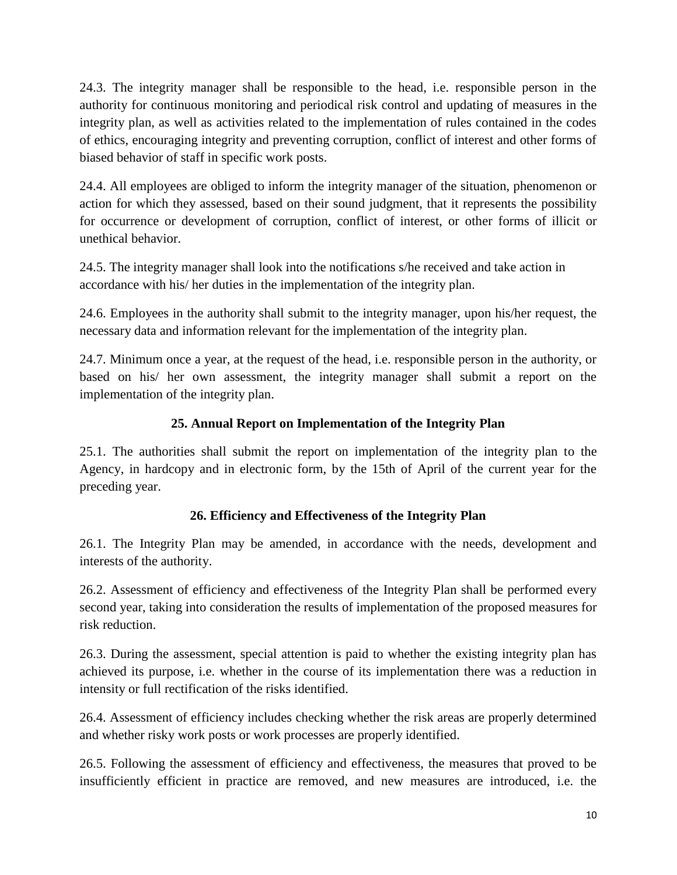24.3. The integrity manager shall be responsible to the head, i.e. responsible person in the authority for continuous monitoring and periodical risk control and updating of measures in the integrity plan, as well as activities related to the implementation of rules contained in the codes of ethics, encouraging integrity and preventing corruption, conflict of interest and other forms of biased behavior of staff in specific work posts.

24.4. All employees are obliged to inform the integrity manager of the situation, phenomenon or action for which they assessed, based on their sound judgment, that it represents the possibility for occurrence or development of corruption, conflict of interest, or other forms of illicit or unethical behavior.

24.5. The integrity manager shall look into the notifications s/he received and take action in accordance with his/ her duties in the implementation of the integrity plan.

24.6. Employees in the authority shall submit to the integrity manager, upon his/her request, the necessary data and information relevant for the implementation of the integrity plan.

24.7. Minimum once a year, at the request of the head, i.e. responsible person in the authority, or based on his/ her own assessment, the integrity manager shall submit a report on the implementation of the integrity plan.

## **25. Annual Report on Implementation of the Integrity Plan**

25.1. The authorities shall submit the report on implementation of the integrity plan to the Agency, in hardcopy and in electronic form, by the 15th of April of the current year for the preceding year.

## **26. Efficiency and Effectiveness of the Integrity Plan**

26.1. The Integrity Plan may be amended, in accordance with the needs, development and interests of the authority.

26.2. Assessment of efficiency and effectiveness of the Integrity Plan shall be performed every second year, taking into consideration the results of implementation of the proposed measures for risk reduction.

26.3. During the assessment, special attention is paid to whether the existing integrity plan has achieved its purpose, i.e. whether in the course of its implementation there was a reduction in intensity or full rectification of the risks identified.

26.4. Assessment of efficiency includes checking whether the risk areas are properly determined and whether risky work posts or work processes are properly identified.

26.5. Following the assessment of efficiency and effectiveness, the measures that proved to be insufficiently efficient in practice are removed, and new measures are introduced, i.e. the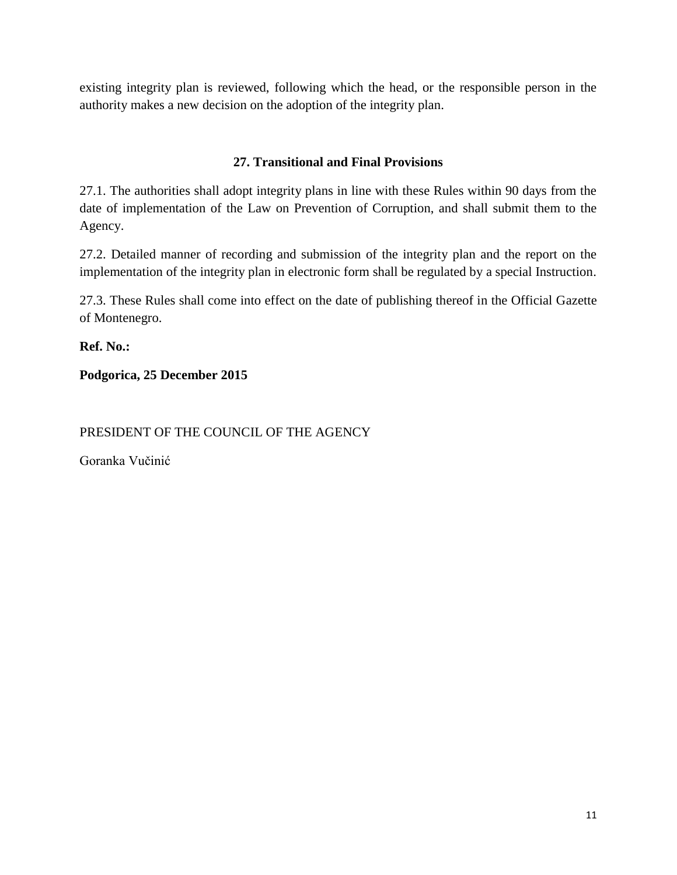existing integrity plan is reviewed, following which the head, or the responsible person in the authority makes a new decision on the adoption of the integrity plan.

### **27. Transitional and Final Provisions**

27.1. The authorities shall adopt integrity plans in line with these Rules within 90 days from the date of implementation of the Law on Prevention of Corruption, and shall submit them to the Agency.

27.2. Detailed manner of recording and submission of the integrity plan and the report on the implementation of the integrity plan in electronic form shall be regulated by a special Instruction.

27.3. These Rules shall come into effect on the date of publishing thereof in the Official Gazette of Montenegro.

**Ref. No.:** 

**Podgorica, 25 December 2015**

PRESIDENT OF THE COUNCIL OF THE AGENCY

Goranka Vučinić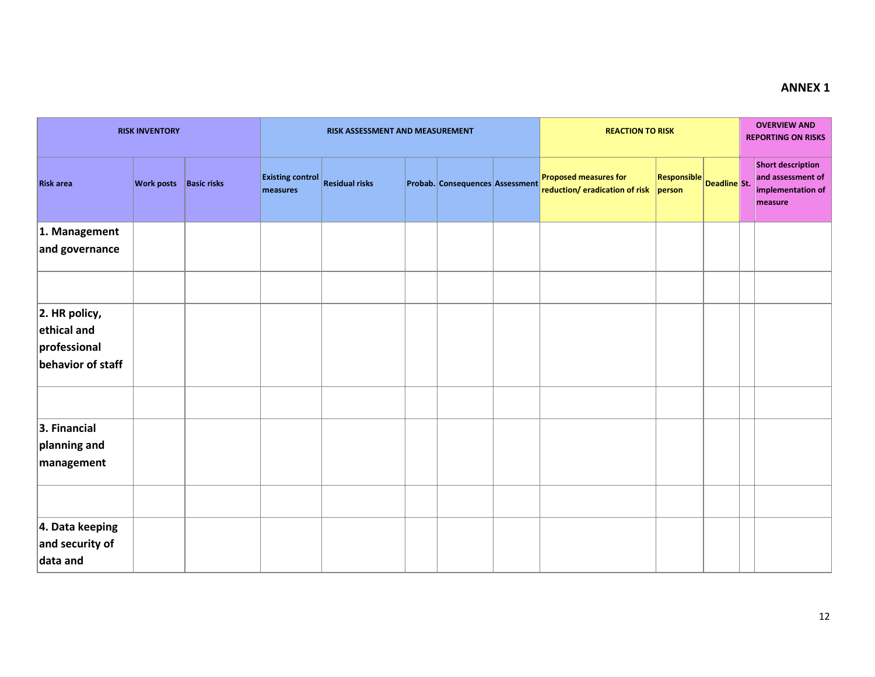## **ANNEX 1**

| <b>RISK INVENTORY</b>                                                |                               |  |                                     | RISK ASSESSMENT AND MEASUREMENT |  | <b>REACTION TO RISK</b>         |                                                                |                              |              | <b>OVERVIEW AND</b><br><b>REPORTING ON RISKS</b> |                                                                               |
|----------------------------------------------------------------------|-------------------------------|--|-------------------------------------|---------------------------------|--|---------------------------------|----------------------------------------------------------------|------------------------------|--------------|--------------------------------------------------|-------------------------------------------------------------------------------|
| <b>Risk area</b>                                                     | <b>Work posts</b> Basic risks |  | <b>Existing control</b><br>measures | <b>Residual risks</b>           |  | Probab. Consequences Assessment | <b>Proposed measures for</b><br>reduction/ eradication of risk | <b>Responsible</b><br>person | Deadline St. |                                                  | <b>Short description</b><br>and assessment of<br>implementation of<br>measure |
| 1. Management                                                        |                               |  |                                     |                                 |  |                                 |                                                                |                              |              |                                                  |                                                                               |
| and governance                                                       |                               |  |                                     |                                 |  |                                 |                                                                |                              |              |                                                  |                                                                               |
|                                                                      |                               |  |                                     |                                 |  |                                 |                                                                |                              |              |                                                  |                                                                               |
| $ 2.$ HR policy,<br>ethical and<br>professional<br>behavior of staff |                               |  |                                     |                                 |  |                                 |                                                                |                              |              |                                                  |                                                                               |
|                                                                      |                               |  |                                     |                                 |  |                                 |                                                                |                              |              |                                                  |                                                                               |
| 3. Financial<br>planning and<br>management                           |                               |  |                                     |                                 |  |                                 |                                                                |                              |              |                                                  |                                                                               |
|                                                                      |                               |  |                                     |                                 |  |                                 |                                                                |                              |              |                                                  |                                                                               |
| 4. Data keeping<br>and security of<br>data and                       |                               |  |                                     |                                 |  |                                 |                                                                |                              |              |                                                  |                                                                               |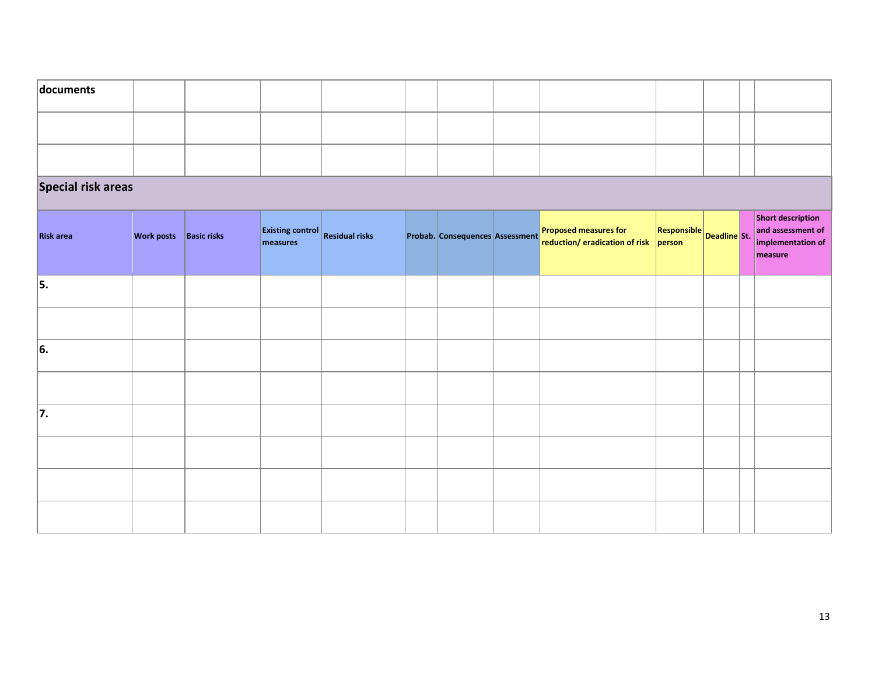| documents                 |                               |  |                                                    |  |  |                                 |  |                                                                       |                             |  |  |                                                                        |
|---------------------------|-------------------------------|--|----------------------------------------------------|--|--|---------------------------------|--|-----------------------------------------------------------------------|-----------------------------|--|--|------------------------------------------------------------------------|
|                           |                               |  |                                                    |  |  |                                 |  |                                                                       |                             |  |  |                                                                        |
|                           |                               |  |                                                    |  |  |                                 |  |                                                                       |                             |  |  |                                                                        |
| <b>Special risk areas</b> |                               |  |                                                    |  |  |                                 |  |                                                                       |                             |  |  |                                                                        |
| <b>Risk area</b>          | <b>Work posts</b> Basic risks |  | <b>Existing control</b> Residual risks<br>measures |  |  | Probab. Consequences Assessment |  | <b>Proposed measures for</b><br>reduction/ eradication of risk person | $R$ esponsible Deadline St. |  |  | Short description<br>and assessment of<br>implementation of<br>measure |
| 5.                        |                               |  |                                                    |  |  |                                 |  |                                                                       |                             |  |  |                                                                        |
|                           |                               |  |                                                    |  |  |                                 |  |                                                                       |                             |  |  |                                                                        |
| 6.                        |                               |  |                                                    |  |  |                                 |  |                                                                       |                             |  |  |                                                                        |
|                           |                               |  |                                                    |  |  |                                 |  |                                                                       |                             |  |  |                                                                        |
| 7.                        |                               |  |                                                    |  |  |                                 |  |                                                                       |                             |  |  |                                                                        |
|                           |                               |  |                                                    |  |  |                                 |  |                                                                       |                             |  |  |                                                                        |
|                           |                               |  |                                                    |  |  |                                 |  |                                                                       |                             |  |  |                                                                        |
|                           |                               |  |                                                    |  |  |                                 |  |                                                                       |                             |  |  |                                                                        |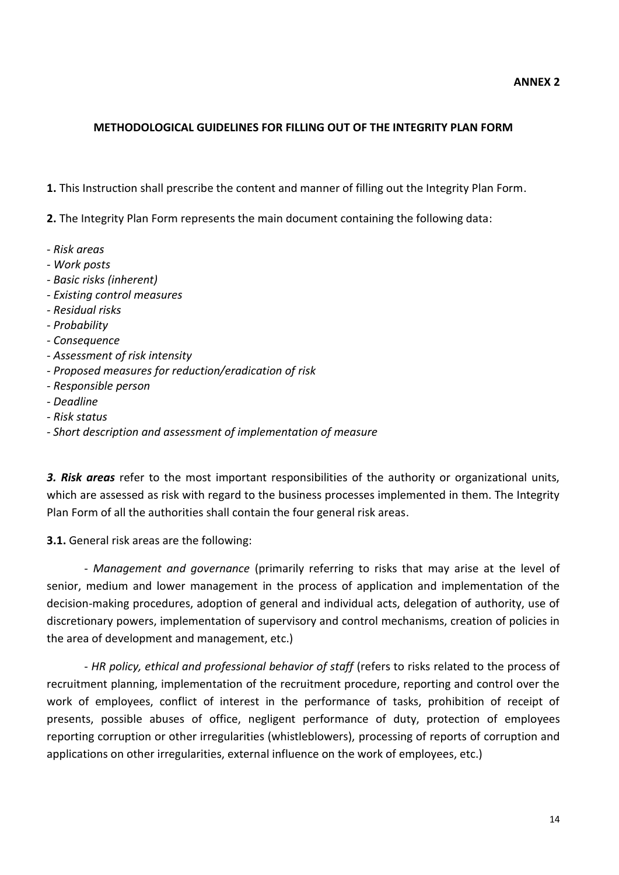#### **METHODOLOGICAL GUIDELINES FOR FILLING OUT OF THE INTEGRITY PLAN FORM**

**1.** This Instruction shall prescribe the content and manner of filling out the Integrity Plan Form.

**2.** The Integrity Plan Form represents the main document containing the following data:

- *Risk areas*
- *- Work posts*
- *- Basic risks (inherent)*
- *- Existing control measures*
- *- Residual risks*
- *- Probability*
- *- Consequence*
- *- Assessment of risk intensity*
- *- Proposed measures for reduction/eradication of risk*
- *- Responsible person*
- *- Deadline*
- *- Risk status*
- *- Short description and assessment of implementation of measure*

*3. Risk areas* refer to the most important responsibilities of the authority or organizational units, which are assessed as risk with regard to the business processes implemented in them. The Integrity Plan Form of all the authorities shall contain the four general risk areas.

**3.1.** General risk areas are the following:

- *Management and governance* (primarily referring to risks that may arise at the level of senior, medium and lower management in the process of application and implementation of the decision-making procedures, adoption of general and individual acts, delegation of authority, use of discretionary powers, implementation of supervisory and control mechanisms, creation of policies in the area of development and management, etc.)

- *HR policy, ethical and professional behavior of staff* (refers to risks related to the process of recruitment planning, implementation of the recruitment procedure, reporting and control over the work of employees, conflict of interest in the performance of tasks, prohibition of receipt of presents, possible abuses of office, negligent performance of duty, protection of employees reporting corruption or other irregularities (whistleblowers), processing of reports of corruption and applications on other irregularities, external influence on the work of employees, etc.)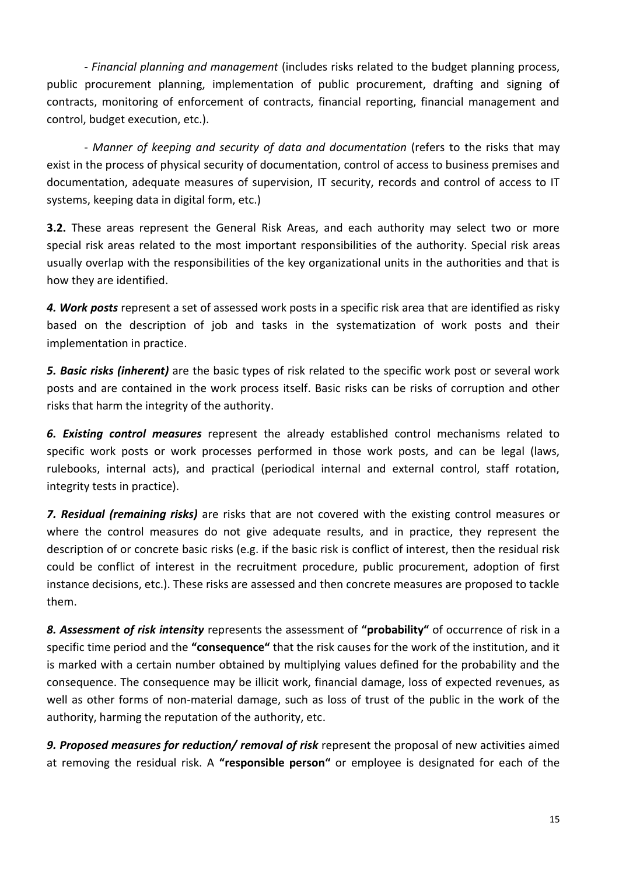- *Financial planning and management* (includes risks related to the budget planning process, public procurement planning, implementation of public procurement, drafting and signing of contracts, monitoring of enforcement of contracts, financial reporting, financial management and control, budget execution, etc.).

- *Manner of keeping and security of data and documentation* (refers to the risks that may exist in the process of physical security of documentation, control of access to business premises and documentation, adequate measures of supervision, IT security, records and control of access to IT systems, keeping data in digital form, etc.)

**3.2.** These areas represent the General Risk Areas, and each authority may select two or more special risk areas related to the most important responsibilities of the authority. Special risk areas usually overlap with the responsibilities of the key organizational units in the authorities and that is how they are identified.

*4. Work posts* represent a set of assessed work posts in a specific risk area that are identified as risky based on the description of job and tasks in the systematization of work posts and their implementation in practice.

*5. Basic risks (inherent)* are the basic types of risk related to the specific work post or several work posts and are contained in the work process itself. Basic risks can be risks of corruption and other risks that harm the integrity of the authority.

*6. Existing control measures* represent the already established control mechanisms related to specific work posts or work processes performed in those work posts, and can be legal (laws, rulebooks, internal acts), and practical (periodical internal and external control, staff rotation, integrity tests in practice).

*7. Residual (remaining risks)* are risks that are not covered with the existing control measures or where the control measures do not give adequate results, and in practice, they represent the description of or concrete basic risks (e.g. if the basic risk is conflict of interest, then the residual risk could be conflict of interest in the recruitment procedure, public procurement, adoption of first instance decisions, etc.). These risks are assessed and then concrete measures are proposed to tackle them.

*8. Assessment of risk intensity* represents the assessment of **"probability"** of occurrence of risk in a specific time period and the **"consequence"** that the risk causes for the work of the institution, and it is marked with a certain number obtained by multiplying values defined for the probability and the consequence. The consequence may be illicit work, financial damage, loss of expected revenues, as well as other forms of non-material damage, such as loss of trust of the public in the work of the authority, harming the reputation of the authority, etc.

*9. Proposed measures for reduction/ removal of risk* represent the proposal of new activities aimed at removing the residual risk. A **"responsible person"** or employee is designated for each of the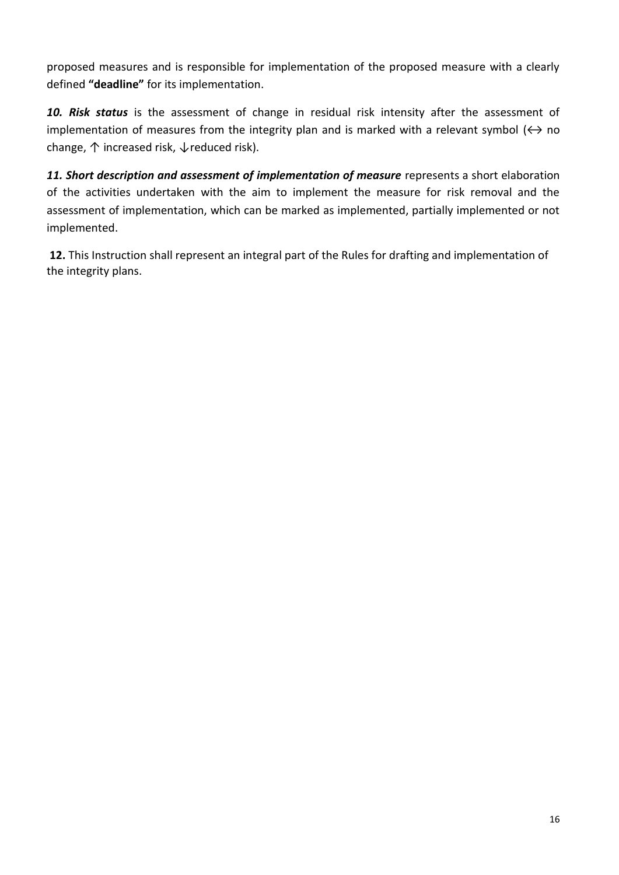proposed measures and is responsible for implementation of the proposed measure with a clearly defined **"deadline"** for its implementation.

10. Risk status is the assessment of change in residual risk intensity after the assessment of implementation of measures from the integrity plan and is marked with a relevant symbol  $(\leftrightarrow$  no change, ↑ increased risk, ↓reduced risk).

*11. Short description and assessment of implementation of measure* represents a short elaboration of the activities undertaken with the aim to implement the measure for risk removal and the assessment of implementation, which can be marked as implemented, partially implemented or not implemented.

**12.** This Instruction shall represent an integral part of the Rules for drafting and implementation of the integrity plans.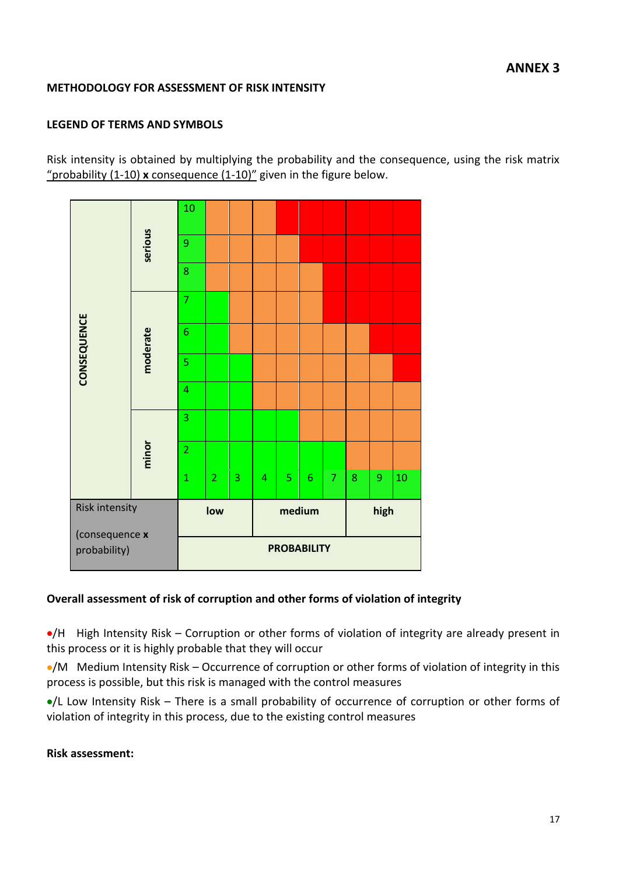### **METHODOLOGY FOR ASSESSMENT OF RISK INTENSITY**

## **LEGEND OF TERMS AND SYMBOLS**

Risk intensity is obtained by multiplying the probability and the consequence, using the risk matrix "probability (1-10) **x** consequence (1-10)" given in the figure below.

| (consequence x<br>probability) |          |                |                |   |   |   | <b>PROBABILITY</b> |                |      |   |    |  |
|--------------------------------|----------|----------------|----------------|---|---|---|--------------------|----------------|------|---|----|--|
| Risk intensity                 |          |                | low            |   |   |   | medium             |                | high |   |    |  |
|                                |          | $\overline{1}$ | $\overline{2}$ | 3 | 4 | 5 | 6                  | $\overline{7}$ | 8    | 9 | 10 |  |
|                                | minor    | $\overline{2}$ |                |   |   |   |                    |                |      |   |    |  |
|                                |          | 3              |                |   |   |   |                    |                |      |   |    |  |
|                                | moderate | $\overline{4}$ |                |   |   |   |                    |                |      |   |    |  |
| CONSEQUENCE                    |          | 5              |                |   |   |   |                    |                |      |   |    |  |
|                                |          | 6              |                |   |   |   |                    |                |      |   |    |  |
|                                |          | $\overline{7}$ |                |   |   |   |                    |                |      |   |    |  |
|                                |          | 8              |                |   |   |   |                    |                |      |   |    |  |
|                                | serious  | 9              |                |   |   |   |                    |                |      |   |    |  |
|                                |          | 10             |                |   |   |   |                    |                |      |   |    |  |

#### **Overall assessment of risk of corruption and other forms of violation of integrity**

/H High Intensity Risk – Corruption or other forms of violation of integrity are already present in this process or it is highly probable that they will occur

/M Medium Intensity Risk – Occurrence of corruption or other forms of violation of integrity in this process is possible, but this risk is managed with the control measures

/L Low Intensity Risk – There is a small probability of occurrence of corruption or other forms of violation of integrity in this process, due to the existing control measures

#### **Risk assessment:**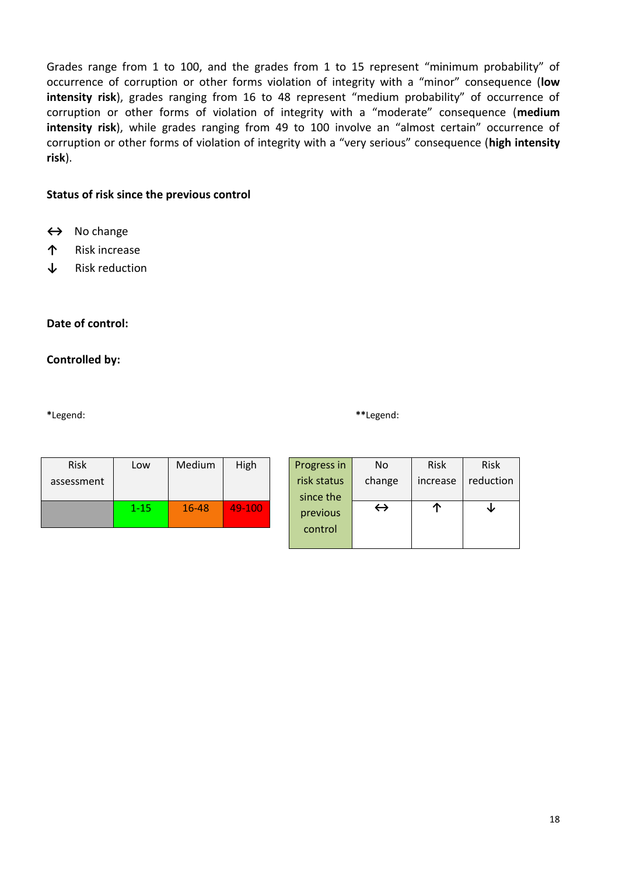Grades range from 1 to 100, and the grades from 1 to 15 represent "minimum probability" of occurrence of corruption or other forms violation of integrity with a "minor" consequence (**low intensity risk**), grades ranging from 16 to 48 represent "medium probability" of occurrence of corruption or other forms of violation of integrity with a "moderate" consequence (**medium intensity risk**), while grades ranging from 49 to 100 involve an "almost certain" occurrence of corruption or other forms of violation of integrity with a "very serious" consequence (**high intensity risk**).

#### **Status of risk since the previous control**

- **↔** No change
- **↑** Risk increase
- **↓** Risk reduction

#### **Date of control:**

#### **Controlled by:**

**\***Legend: **\*\***Legend:

| <b>Risk</b> | Low      | Medium    | High   |
|-------------|----------|-----------|--------|
| assessment  |          |           |        |
|             |          |           |        |
|             | $1 - 15$ | $16 - 48$ | 49-100 |
|             |          |           |        |

| Progress in | No                | <b>Risk</b> | <b>Risk</b> |
|-------------|-------------------|-------------|-------------|
| risk status | change            | increase    | reduction   |
| since the   |                   |             |             |
| previous    | $\leftrightarrow$ |             |             |
| control     |                   |             |             |
|             |                   |             |             |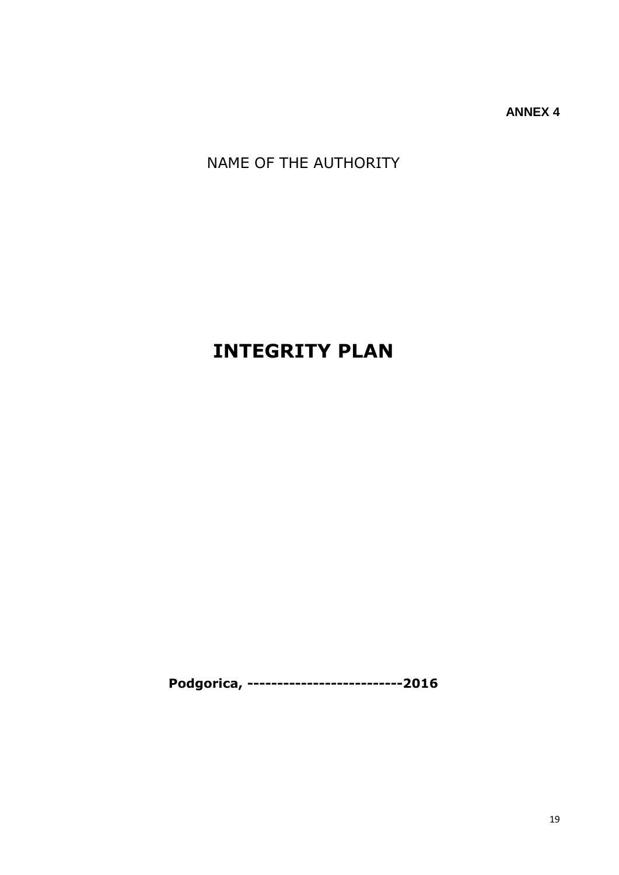**ANNEX 4**

NAME OF THE AUTHORITY

# **INTEGRITY PLAN**

**Podgorica, --------------------------2016**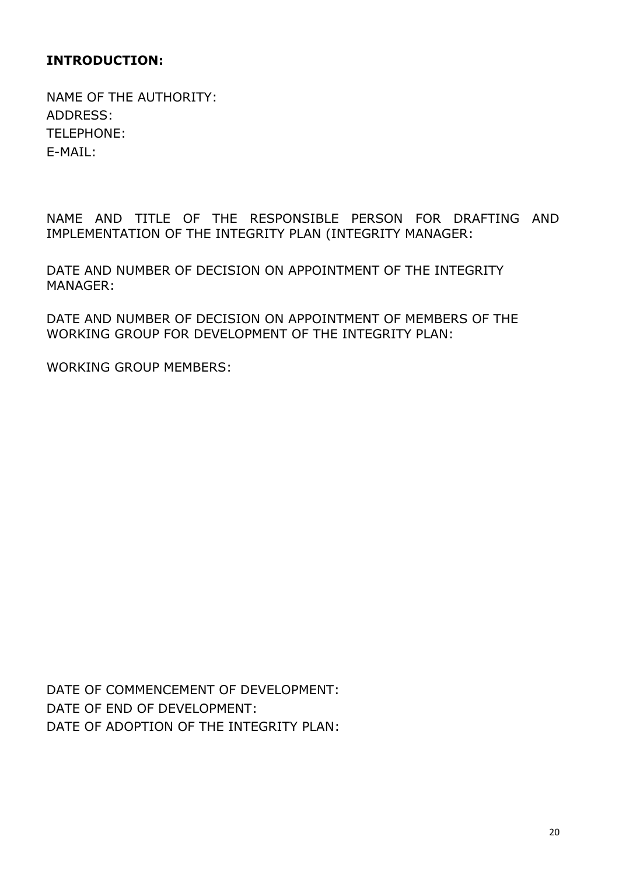# **INTRODUCTION:**

NAME OF THE AUTHORITY: ADDRESS: TELEPHONE: E-MAIL:

NAME AND TITLE OF THE RESPONSIBLE PERSON FOR DRAFTING AND IMPLEMENTATION OF THE INTEGRITY PLAN (INTEGRITY MANAGER:

DATE AND NUMBER OF DECISION ON APPOINTMENT OF THE INTEGRITY MANAGER:

DATE AND NUMBER OF DECISION ON APPOINTMENT OF MEMBERS OF THE WORKING GROUP FOR DEVELOPMENT OF THE INTEGRITY PLAN:

WORKING GROUP MEMBERS:

DATE OF COMMENCEMENT OF DEVELOPMENT: DATE OF END OF DEVELOPMENT: DATE OF ADOPTION OF THE INTEGRITY PLAN: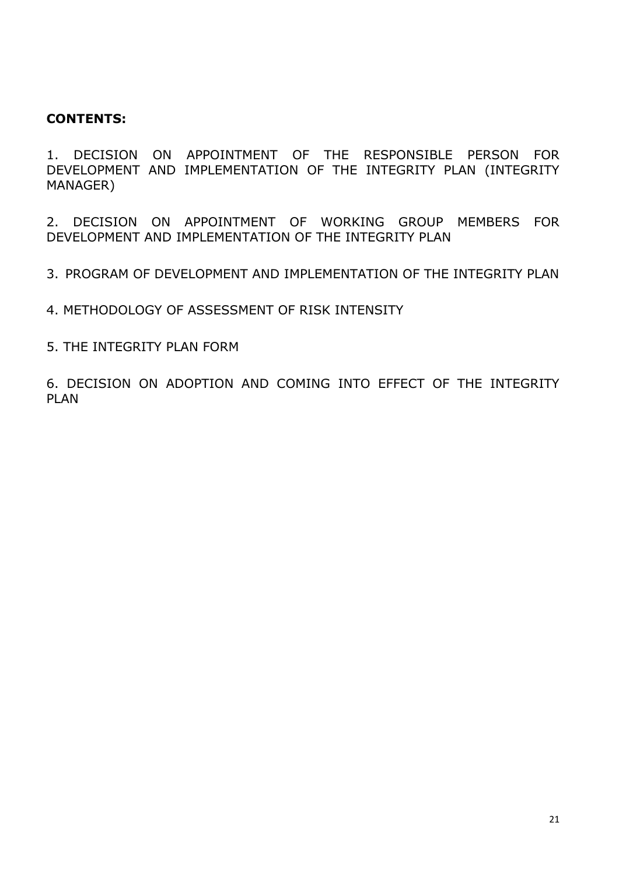## **CONTENTS:**

1. DECISION ON APPOINTMENT OF THE RESPONSIBLE PERSON FOR DEVELOPMENT AND IMPLEMENTATION OF THE INTEGRITY PLAN (INTEGRITY MANAGER)

2. DECISION ON APPOINTMENT OF WORKING GROUP MEMBERS FOR DEVELOPMENT AND IMPLEMENTATION OF THE INTEGRITY PLAN

3. PROGRAM OF DEVELOPMENT AND IMPLEMENTATION OF THE INTEGRITY PLAN

4. METHODOLOGY OF ASSESSMENT OF RISK INTENSITY

5. THE INTEGRITY PLAN FORM

6. DECISION ON ADOPTION AND COMING INTO EFFECT OF THE INTEGRITY PLAN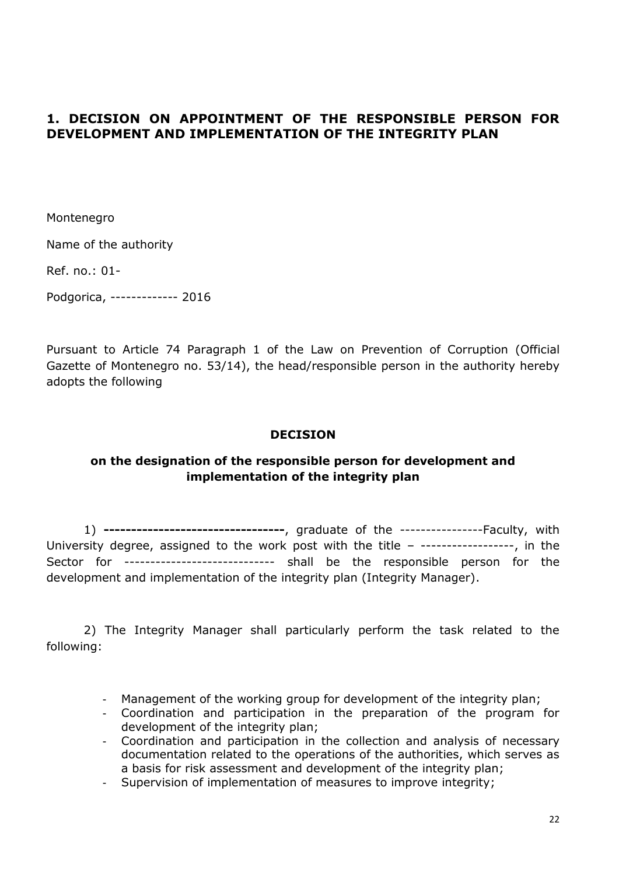## **1. DECISION ON APPOINTMENT OF THE RESPONSIBLE PERSON FOR DEVELOPMENT AND IMPLEMENTATION OF THE INTEGRITY PLAN**

Montenegro

Name of the authority

Ref. no.: 01-

Podgorica, ------------- 2016

Pursuant to Article 74 Paragraph 1 of the Law on Prevention of Corruption (Official Gazette of Montenegro no. 53/14), the head/responsible person in the authority hereby adopts the following

#### **DECISION**

## **on the designation of the responsible person for development and implementation of the integrity plan**

1) **---------------------------------**, graduate of the ----------------Faculty, with University degree, assigned to the work post with the title - ------------------, in the Sector for ----------------------------- shall be the responsible person for the development and implementation of the integrity plan (Integrity Manager).

2) The Integrity Manager shall particularly perform the task related to the following:

- Management of the working group for development of the integrity plan;
- Coordination and participation in the preparation of the program for development of the integrity plan;
- Coordination and participation in the collection and analysis of necessary documentation related to the operations of the authorities, which serves as a basis for risk assessment and development of the integrity plan;
- Supervision of implementation of measures to improve integrity;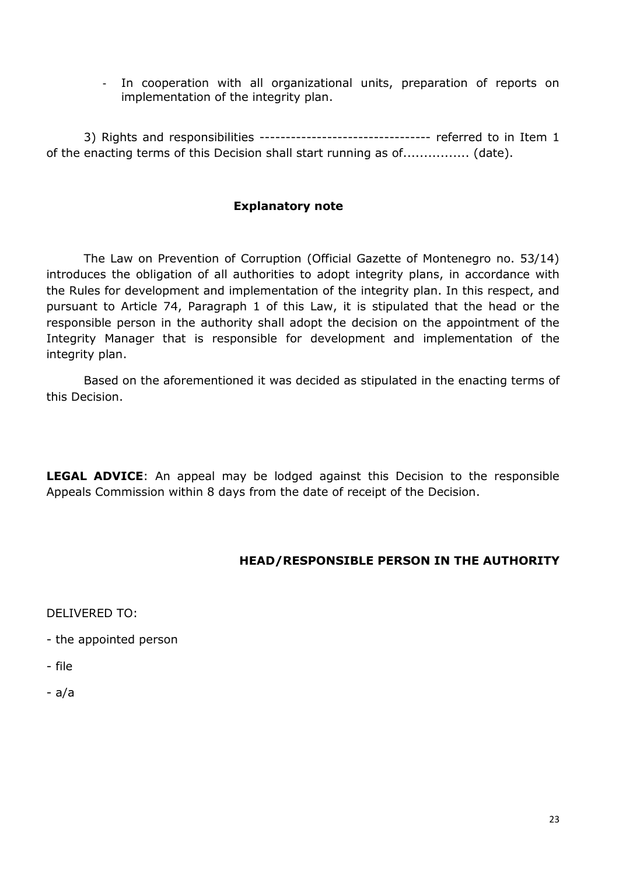- In cooperation with all organizational units, preparation of reports on implementation of the integrity plan.

3) Rights and responsibilities --------------------------------- referred to in Item 1 of the enacting terms of this Decision shall start running as of................ (date).

## **Explanatory note**

The Law on Prevention of Corruption (Official Gazette of Montenegro no. 53/14) introduces the obligation of all authorities to adopt integrity plans, in accordance with the Rules for development and implementation of the integrity plan. In this respect, and pursuant to Article 74, Paragraph 1 of this Law, it is stipulated that the head or the responsible person in the authority shall adopt the decision on the appointment of the Integrity Manager that is responsible for development and implementation of the integrity plan.

Based on the aforementioned it was decided as stipulated in the enacting terms of this Decision.

**LEGAL ADVICE:** An appeal may be lodged against this Decision to the responsible Appeals Commission within 8 days from the date of receipt of the Decision.

## **HEAD/RESPONSIBLE PERSON IN THE AUTHORITY**

DELIVERED TO:

- the appointed person
- file
- a/a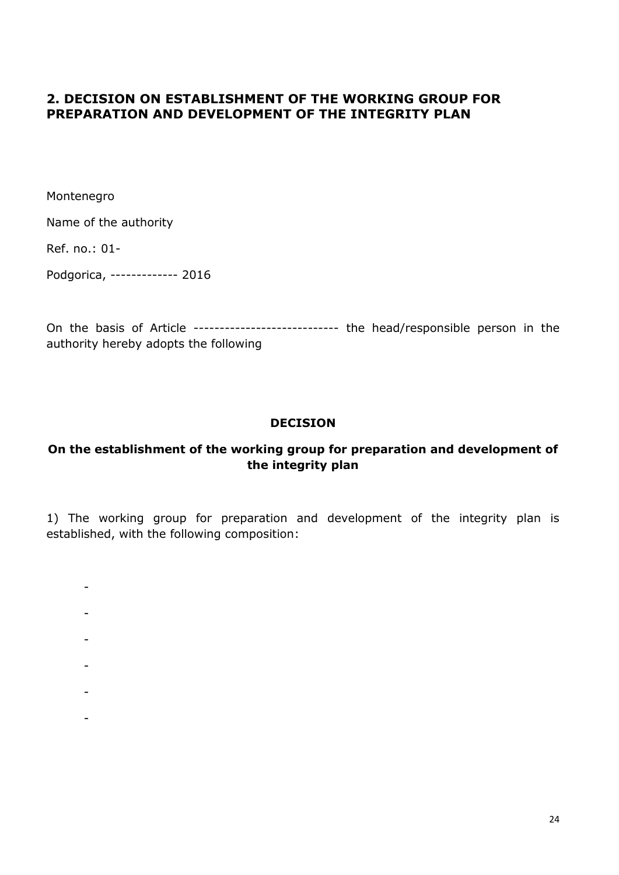## **2. DECISION ON ESTABLISHMENT OF THE WORKING GROUP FOR PREPARATION AND DEVELOPMENT OF THE INTEGRITY PLAN**

Montenegro

Name of the authority

Ref. no.: 01-

Podgorica, ------------- 2016

On the basis of Article ---------------------------- the head/responsible person in the authority hereby adopts the following

## **DECISION**

## **On the establishment of the working group for preparation and development of the integrity plan**

1) The working group for preparation and development of the integrity plan is established, with the following composition:

- -
- -
- 
- -
- -
- 
- -
- -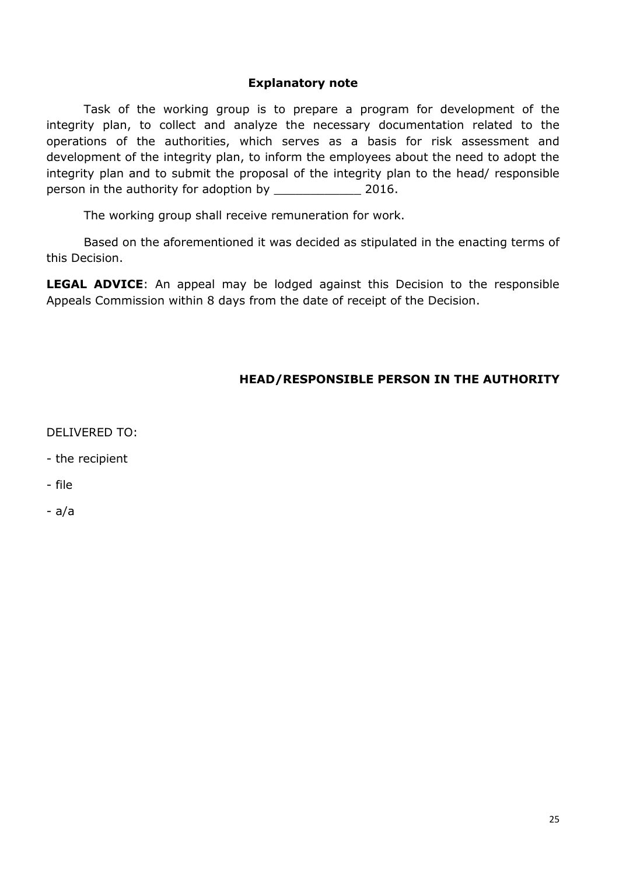#### **Explanatory note**

Task of the working group is to prepare a program for development of the integrity plan, to collect and analyze the necessary documentation related to the operations of the authorities, which serves as a basis for risk assessment and development of the integrity plan, to inform the employees about the need to adopt the integrity plan and to submit the proposal of the integrity plan to the head/ responsible person in the authority for adoption by \_\_\_\_\_\_\_\_\_\_\_\_ 2016.

The working group shall receive remuneration for work.

Based on the aforementioned it was decided as stipulated in the enacting terms of this Decision.

**LEGAL ADVICE**: An appeal may be lodged against this Decision to the responsible Appeals Commission within 8 days from the date of receipt of the Decision.

## **HEAD/RESPONSIBLE PERSON IN THE AUTHORITY**

DELIVERED TO:

- the recipient
- file
- a/a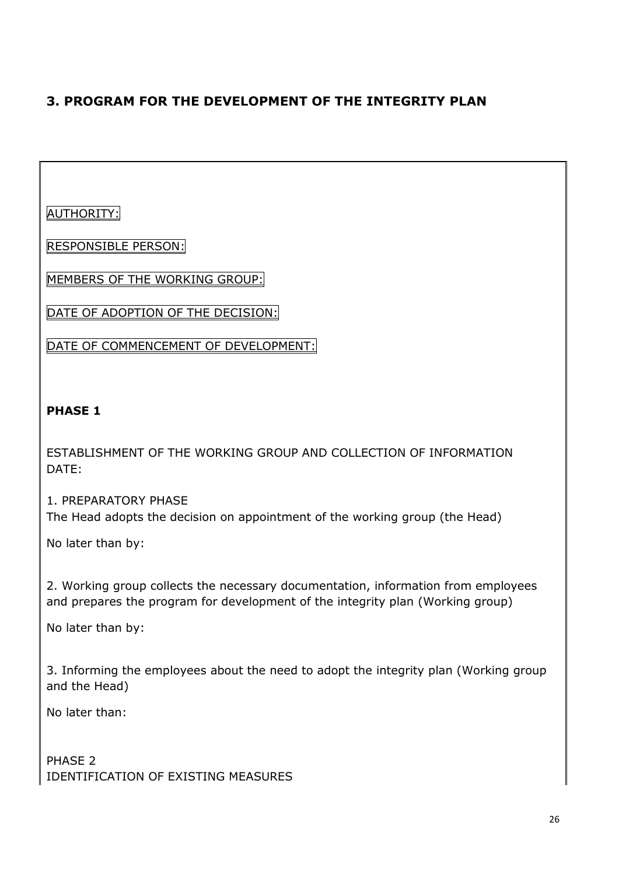# **3. PROGRAM FOR THE DEVELOPMENT OF THE INTEGRITY PLAN**

AUTHORITY:

RESPONSIBLE PERSON:

MEMBERS OF THE WORKING GROUP:

DATE OF ADOPTION OF THE DECISION:

DATE OF COMMENCEMENT OF DEVELOPMENT:

## **PHASE 1**

ESTABLISHMENT OF THE WORKING GROUP AND COLLECTION OF INFORMATION DATE:

1. PREPARATORY PHASE The Head adopts the decision on appointment of the working group (the Head)

No later than by:

2. Working group collects the necessary documentation, information from employees and prepares the program for development of the integrity plan (Working group)

No later than by:

3. Informing the employees about the need to adopt the integrity plan (Working group and the Head)

No later than:

PHASE 2 IDENTIFICATION OF EXISTING MEASURES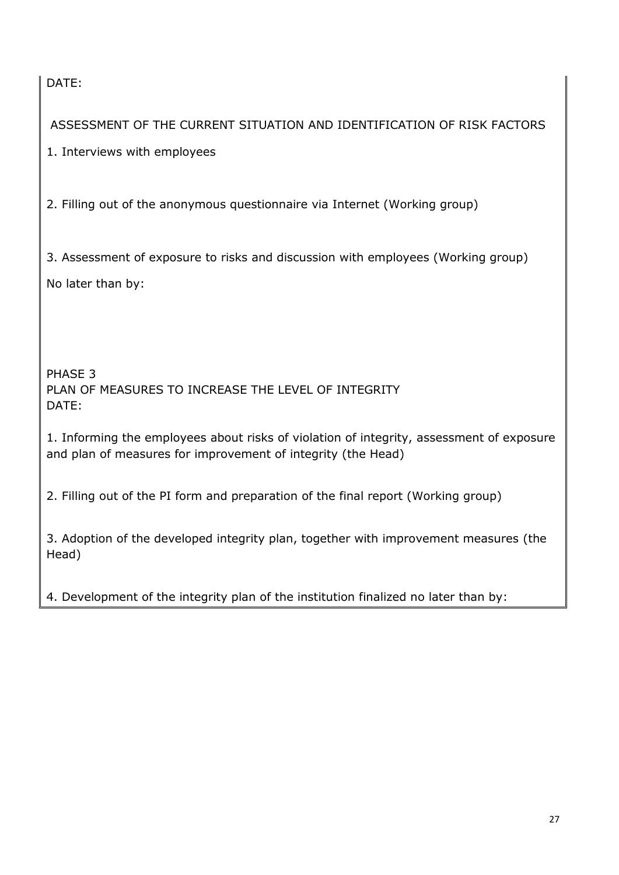DATE:

ASSESSMENT OF THE CURRENT SITUATION AND IDENTIFICATION OF RISK FACTORS

1. Interviews with employees

2. Filling out of the anonymous questionnaire via Internet (Working group)

3. Assessment of exposure to risks and discussion with employees (Working group) No later than by:

PHASE 3 PLAN OF MEASURES TO INCREASE THE LEVEL OF INTEGRITY DATE:

1. Informing the employees about risks of violation of integrity, assessment of exposure and plan of measures for improvement of integrity (the Head)

2. Filling out of the PI form and preparation of the final report (Working group)

3. Adoption of the developed integrity plan, together with improvement measures (the Head)

4. Development of the integrity plan of the institution finalized no later than by: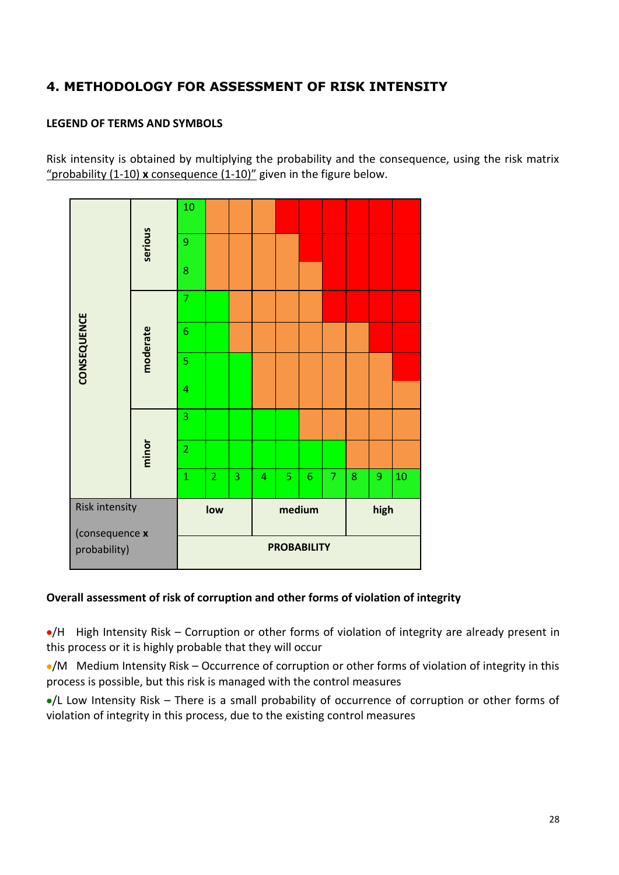# **4. METHODOLOGY FOR ASSESSMENT OF RISK INTENSITY**

#### **LEGEND OF TERMS AND SYMBOLS**

Risk intensity is obtained by multiplying the probability and the consequence, using the risk matrix "probability (1-10) **x** consequence (1-10)" given in the figure below.

| probability)                     |          |                |                |   |                |        | <b>PROBABILITY</b> |                |   |                  |    |
|----------------------------------|----------|----------------|----------------|---|----------------|--------|--------------------|----------------|---|------------------|----|
| Risk intensity<br>(consequence x |          |                | low            |   |                | medium |                    |                |   | high             |    |
|                                  |          | $\overline{1}$ | $\overline{2}$ | 3 | $\overline{4}$ | 5      | $\sqrt{6}$         | $\overline{7}$ | 8 | $\boldsymbol{9}$ | 10 |
|                                  | minor    | $\overline{2}$ |                |   |                |        |                    |                |   |                  |    |
|                                  |          | 3              |                |   |                |        |                    |                |   |                  |    |
|                                  | moderate | 4              |                |   |                |        |                    |                |   |                  |    |
| CONSEQUENCE                      |          | 5              |                |   |                |        |                    |                |   |                  |    |
|                                  |          | 6              |                |   |                |        |                    |                |   |                  |    |
|                                  |          | $\overline{7}$ |                |   |                |        |                    |                |   |                  |    |
|                                  |          | 8              |                |   |                |        |                    |                |   |                  |    |
|                                  | serious  | 9              |                |   |                |        |                    |                |   |                  |    |
|                                  |          | 10             |                |   |                |        |                    |                |   |                  |    |

## **Overall assessment of risk of corruption and other forms of violation of integrity**

/H High Intensity Risk – Corruption or other forms of violation of integrity are already present in this process or it is highly probable that they will occur

•/M Medium Intensity Risk – Occurrence of corruption or other forms of violation of integrity in this process is possible, but this risk is managed with the control measures

/L Low Intensity Risk – There is a small probability of occurrence of corruption or other forms of violation of integrity in this process, due to the existing control measures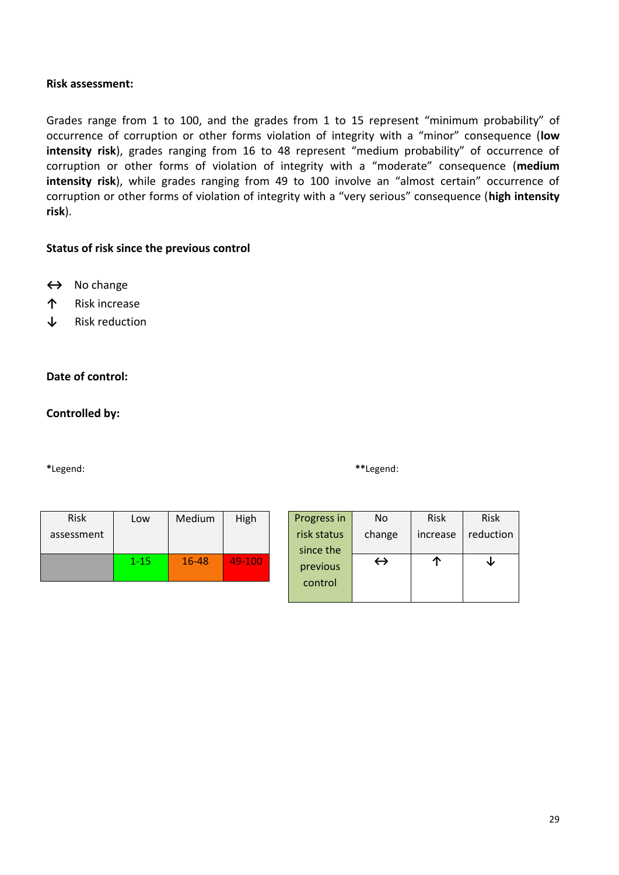#### **Risk assessment:**

Grades range from 1 to 100, and the grades from 1 to 15 represent "minimum probability" of occurrence of corruption or other forms violation of integrity with a "minor" consequence (**low intensity risk**), grades ranging from 16 to 48 represent "medium probability" of occurrence of corruption or other forms of violation of integrity with a "moderate" consequence (**medium intensity risk**), while grades ranging from 49 to 100 involve an "almost certain" occurrence of corruption or other forms of violation of integrity with a "very serious" consequence (**high intensity risk**).

#### **Status of risk since the previous control**

- **↔** No change
- **↑** Risk increase
- **↓** Risk reduction

#### **Date of control:**

#### **Controlled by:**

**\***Legend: **\*\***Legend:

| <b>Risk</b><br>assessment | Low      | Medium | High   |  |
|---------------------------|----------|--------|--------|--|
|                           | $1 - 15$ | 16-48  | 49-100 |  |

| Progress in | No                | <b>Risk</b> | <b>Risk</b> |
|-------------|-------------------|-------------|-------------|
| risk status | change            | increase    | reduction   |
| since the   |                   |             |             |
| previous    | $\leftrightarrow$ |             |             |
| control     |                   |             |             |
|             |                   |             |             |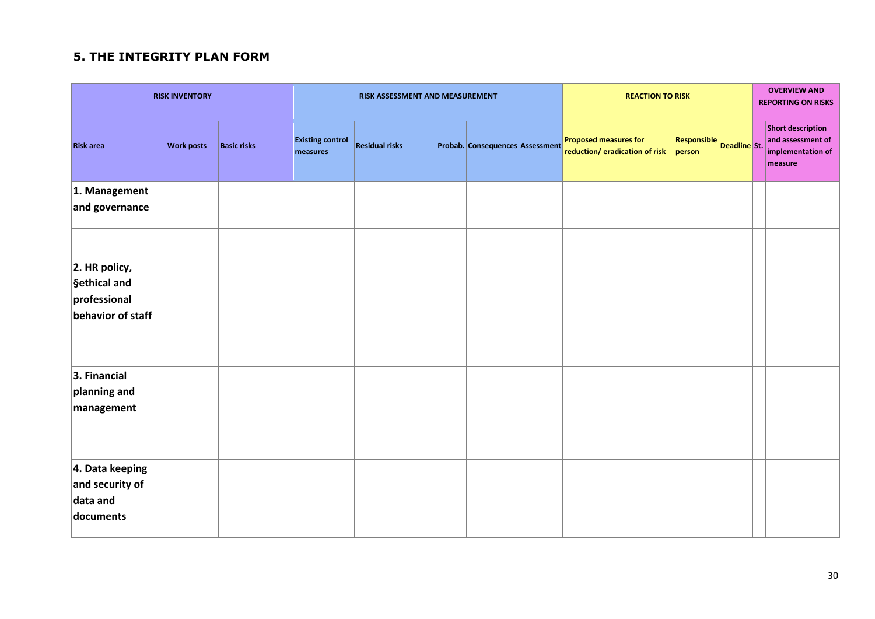# **5. THE INTEGRITY PLAN FORM**

|                                                                       | <b>RISK INVENTORY</b> |                    |                                     | <b>REACTION TO RISK</b><br>RISK ASSESSMENT AND MEASUREMENT |  |                                 |  | <b>OVERVIEW AND</b><br><b>REPORTING ON RISKS</b>        |                              |              |  |                                                                               |
|-----------------------------------------------------------------------|-----------------------|--------------------|-------------------------------------|------------------------------------------------------------|--|---------------------------------|--|---------------------------------------------------------|------------------------------|--------------|--|-------------------------------------------------------------------------------|
| <b>Risk area</b>                                                      | <b>Work posts</b>     | <b>Basic risks</b> | <b>Existing control</b><br>measures | <b>Residual risks</b>                                      |  | Probab. Consequences Assessment |  | Proposed measures for<br>reduction/ eradication of risk | <b>Responsible</b><br>person | Deadline St. |  | <b>Short description</b><br>and assessment of<br>implementation of<br>measure |
| 1. Management<br>and governance                                       |                       |                    |                                     |                                                            |  |                                 |  |                                                         |                              |              |  |                                                                               |
|                                                                       |                       |                    |                                     |                                                            |  |                                 |  |                                                         |                              |              |  |                                                                               |
| $ 2.$ HR policy,<br>§ethical and<br>professional<br>behavior of staff |                       |                    |                                     |                                                            |  |                                 |  |                                                         |                              |              |  |                                                                               |
| 3. Financial<br>planning and<br>management                            |                       |                    |                                     |                                                            |  |                                 |  |                                                         |                              |              |  |                                                                               |
|                                                                       |                       |                    |                                     |                                                            |  |                                 |  |                                                         |                              |              |  |                                                                               |
| 4. Data keeping<br>and security of<br>data and<br>documents           |                       |                    |                                     |                                                            |  |                                 |  |                                                         |                              |              |  |                                                                               |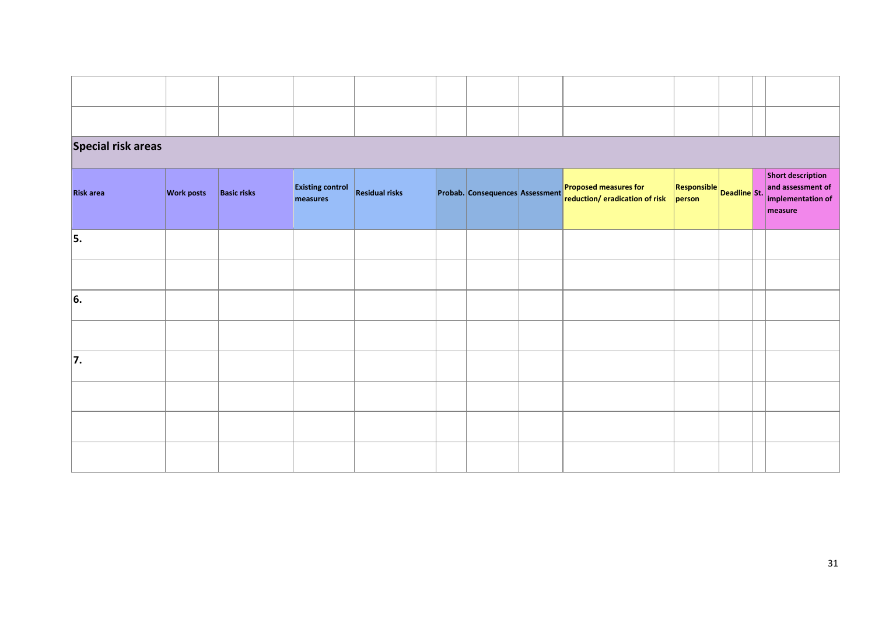| <b>Special risk areas</b> |                   |                    |                                     |                       |  |                                 |  |                                                                |                                       |  |  |                                                                        |
|---------------------------|-------------------|--------------------|-------------------------------------|-----------------------|--|---------------------------------|--|----------------------------------------------------------------|---------------------------------------|--|--|------------------------------------------------------------------------|
| <b>Risk area</b>          | <b>Work posts</b> | <b>Basic risks</b> | <b>Existing control</b><br>measures | <b>Residual risks</b> |  | Probab. Consequences Assessment |  | <b>Proposed measures for</b><br>reduction/ eradication of risk | $R$ esponsible Deadline St.<br>person |  |  | Short description<br>and assessment of<br>implementation of<br>measure |
| 5.                        |                   |                    |                                     |                       |  |                                 |  |                                                                |                                       |  |  |                                                                        |
|                           |                   |                    |                                     |                       |  |                                 |  |                                                                |                                       |  |  |                                                                        |
| 6.                        |                   |                    |                                     |                       |  |                                 |  |                                                                |                                       |  |  |                                                                        |
|                           |                   |                    |                                     |                       |  |                                 |  |                                                                |                                       |  |  |                                                                        |
| 7.                        |                   |                    |                                     |                       |  |                                 |  |                                                                |                                       |  |  |                                                                        |
|                           |                   |                    |                                     |                       |  |                                 |  |                                                                |                                       |  |  |                                                                        |
|                           |                   |                    |                                     |                       |  |                                 |  |                                                                |                                       |  |  |                                                                        |
|                           |                   |                    |                                     |                       |  |                                 |  |                                                                |                                       |  |  |                                                                        |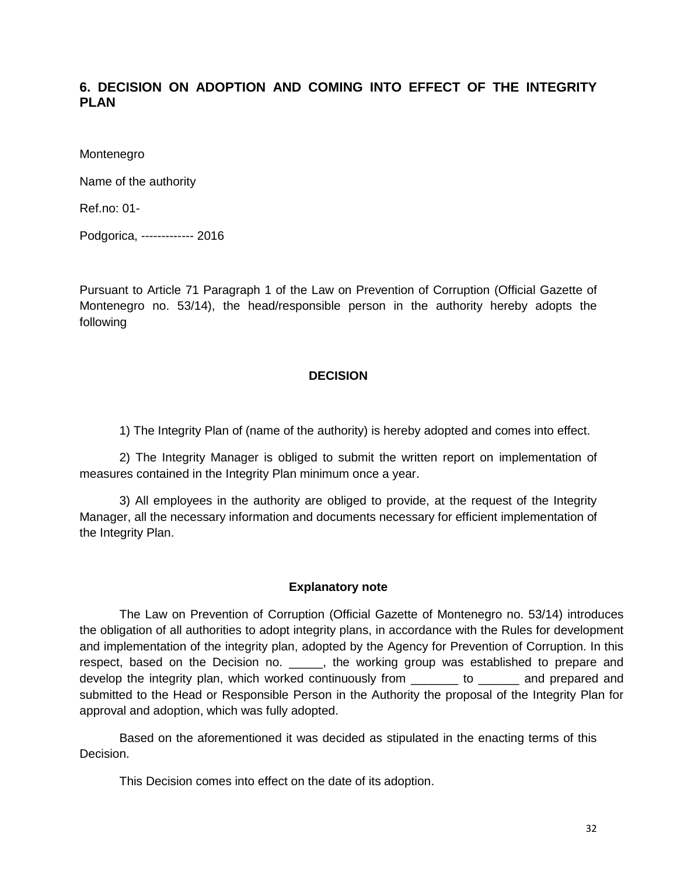## **6. DECISION ON ADOPTION AND COMING INTO EFFECT OF THE INTEGRITY PLAN**

Montenegro

Name of the authority

Ref.no: 01-

Podgorica, ------------- 2016

Pursuant to Article 71 Paragraph 1 of the Law on Prevention of Corruption (Official Gazette of Montenegro no. 53/14), the head/responsible person in the authority hereby adopts the following

#### **DECISION**

1) The Integrity Plan of (name of the authority) is hereby adopted and comes into effect.

2) The Integrity Manager is obliged to submit the written report on implementation of measures contained in the Integrity Plan minimum once a year.

3) All employees in the authority are obliged to provide, at the request of the Integrity Manager, all the necessary information and documents necessary for efficient implementation of the Integrity Plan.

#### **Explanatory note**

The Law on Prevention of Corruption (Official Gazette of Montenegro no. 53/14) introduces the obligation of all authorities to adopt integrity plans, in accordance with the Rules for development and implementation of the integrity plan, adopted by the Agency for Prevention of Corruption. In this respect, based on the Decision no. \_\_\_\_\_, the working group was established to prepare and develop the integrity plan, which worked continuously from  $\qquad \qquad$  to  $\qquad \qquad$  and prepared and submitted to the Head or Responsible Person in the Authority the proposal of the Integrity Plan for approval and adoption, which was fully adopted.

Based on the aforementioned it was decided as stipulated in the enacting terms of this Decision.

This Decision comes into effect on the date of its adoption.